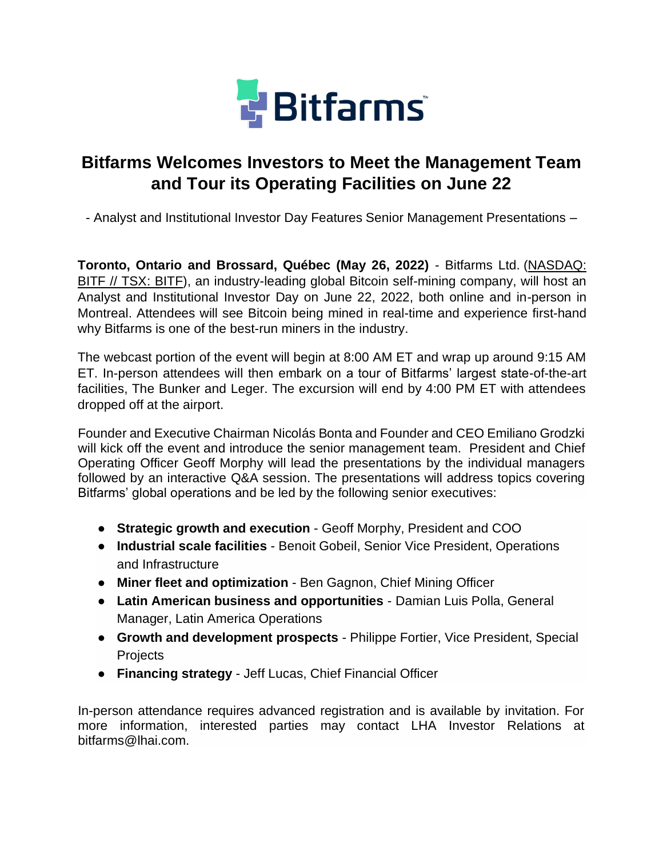

# **Bitfarms Welcomes Investors to Meet the Management Team and Tour its Operating Facilities on June 22**

- Analyst and Institutional Investor Day Features Senior Management Presentations –

**Toronto, Ontario and Brossard, Québec (May 26, 2022)** - [Bitfarms Ltd.](https://cts.businesswire.com/ct/CT?id=smartlink&url=https%3A%2F%2Fbitfarms.com%2F&esheet=52352512&newsitemid=20201222005172&lan=en-US&anchor=Bitfarms+Ltd.&index=1&md5=4e2b5a37e06e1e60e5ebf2e5b16a4b57) (NASDAQ: BITF // TSX: BITF), an industry-leading global Bitcoin self-mining company, will host an Analyst and Institutional Investor Day on June 22, 2022, both online and in-person in Montreal. Attendees will see Bitcoin being mined in real-time and experience first-hand why Bitfarms is one of the best-run miners in the industry.

The webcast portion of the event will begin at 8:00 AM ET and wrap up around 9:15 AM ET. In-person attendees will then embark on a tour of Bitfarms' largest state-of-the-art facilities, The Bunker and Leger. The excursion will end by 4:00 PM ET with attendees dropped off at the airport.

Founder and Executive Chairman Nicolás Bonta and Founder and CEO Emiliano Grodzki will kick off the event and introduce the senior management team. President and Chief Operating Officer Geoff Morphy will lead the presentations by the individual managers followed by an interactive Q&A session. The presentations will address topics covering Bitfarms' global operations and be led by the following senior executives:

- **Strategic growth and execution** Geoff Morphy, President and COO
- **Industrial scale facilities**  Benoit Gobeil, Senior Vice President, Operations and Infrastructure
- **Miner fleet and optimization** Ben Gagnon, Chief Mining Officer
- **Latin American business and opportunities** Damian Luis Polla, General Manager, Latin America Operations
- **Growth and development prospects** Philippe Fortier, Vice President, Special **Projects**
- **Financing strategy** Jeff Lucas, Chief Financial Officer

In-person attendance requires advanced registration and is available by invitation. For more information, interested parties may contact LHA Investor Relations at bitfarms@lhai.com.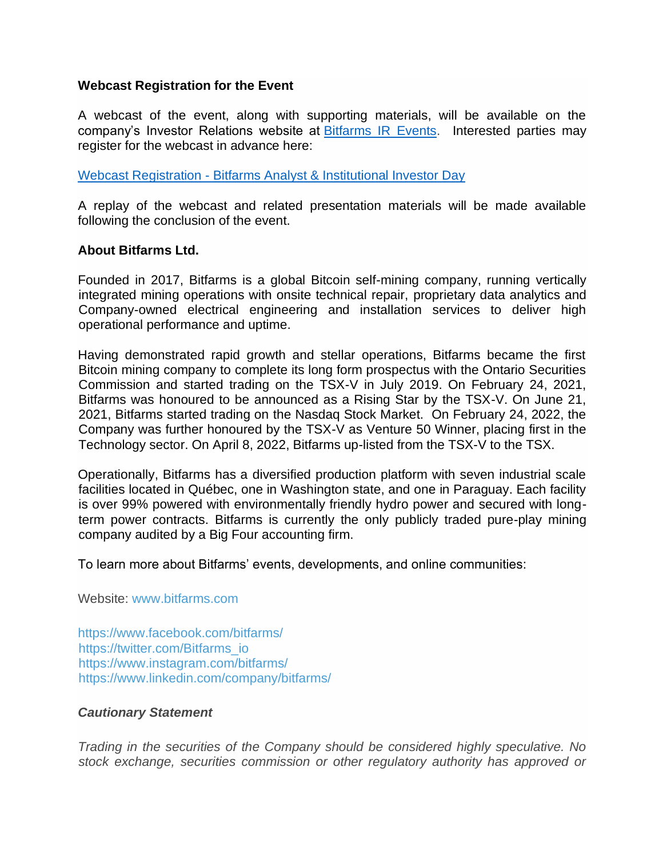#### **Webcast Registration for the Event**

A webcast of the event, along with supporting materials, will be available on the company's Investor Relations website at [Bitfarms IR Events.](https://bitfarms.com/investors/#presentation-and-events) Interested parties may register for the webcast in advance here:

Webcast Registration - [Bitfarms Analyst & Institutional Investor Day](https://event.choruscall.com/mediaframe/webcast.html?webcastid=4y9yGwv1)

A replay of the webcast and related presentation materials will be made available following the conclusion of the event.

#### **About Bitfarms Ltd.**

Founded in 2017, Bitfarms is a global Bitcoin self-mining company, running vertically integrated mining operations with onsite technical repair, proprietary data analytics and Company-owned electrical engineering and installation services to deliver high operational performance and uptime.

Having demonstrated rapid growth and stellar operations, Bitfarms became the first Bitcoin mining company to complete its long form prospectus with the Ontario Securities Commission and started trading on the TSX-V in July 2019. On February 24, 2021, Bitfarms was honoured to be announced as a Rising Star by the TSX-V. On June 21, 2021, Bitfarms started trading on the Nasdaq Stock Market. On February 24, 2022, the Company was further honoured by the TSX-V as Venture 50 Winner, placing first in the Technology sector. On April 8, 2022, Bitfarms up-listed from the TSX-V to the TSX.

Operationally, Bitfarms has a diversified production platform with seven industrial scale facilities located in Québec, one in Washington state, and one in Paraguay. Each facility is over 99% powered with environmentally friendly hydro power and secured with longterm power contracts. Bitfarms is currently the only publicly traded pure-play mining company audited by a Big Four accounting firm.

To learn more about Bitfarms' events, developments, and online communities:

Website: [www.bitfarms.com](https://cts.businesswire.com/ct/CT?id=smartlink&url=http%3A%2F%2Fwww.bitfarms.com&esheet=52352512&newsitemid=20201222005172&lan=en-US&anchor=www.bitfarms.com&index=2&md5=8a9d4e770ff4a5696a36ad864bb10f7e)

[https://www.facebook.com/bitfarms/](https://cts.businesswire.com/ct/CT?id=smartlink&url=https%3A%2F%2Fwww.facebook.com%2Fbitfarms%2F&esheet=52352512&newsitemid=20201222005172&lan=en-US&anchor=https%3A%2F%2Fwww.facebook.com%2Fbitfarms%2F&index=3&md5=b6e44e25b52add15c33e867ef844a87f) [https://twitter.com/Bitfarms\\_io](https://cts.businesswire.com/ct/CT?id=smartlink&url=https%3A%2F%2Ftwitter.com%2FBitfarms_io&esheet=52352512&newsitemid=20201222005172&lan=en-US&anchor=https%3A%2F%2Ftwitter.com%2FBitfarms_io&index=4&md5=ea5504adaee0d8d42bb82da141578a4c) [https://www.instagram.com/bitfarms/](https://cts.businesswire.com/ct/CT?id=smartlink&url=https%3A%2F%2Fwww.instagram.com%2Fbitfarms%2F&esheet=52352512&newsitemid=20201222005172&lan=en-US&anchor=https%3A%2F%2Fwww.instagram.com%2Fbitfarms%2F&index=5&md5=c23e35264dd3b32f731404db5d27ba13) [https://www.linkedin.com/company/bitfarms/](https://cts.businesswire.com/ct/CT?id=smartlink&url=https%3A%2F%2Fwww.linkedin.com%2Fcompany%2Fbitfarms%2F&esheet=52352512&newsitemid=20201222005172&lan=en-US&anchor=https%3A%2F%2Fwww.linkedin.com%2Fcompany%2Fbitfarms%2F&index=6&md5=b1358cccd49bdc78b84622ab953c638b)

#### *Cautionary Statement*

*Trading in the securities of the Company should be considered highly speculative. No stock exchange, securities commission or other regulatory authority has approved or*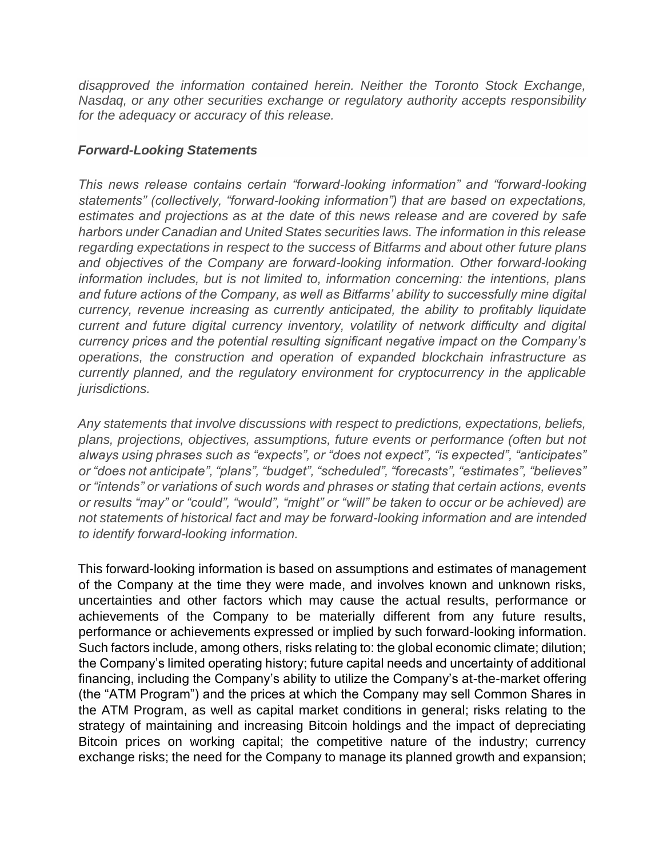*disapproved the information contained herein. Neither the Toronto Stock Exchange, Nasdaq, or any other securities exchange or regulatory authority accepts responsibility for the adequacy or accuracy of this release.*

#### *Forward-Looking Statements*

*This news release contains certain "forward-looking information" and "forward-looking statements" (collectively, "forward-looking information") that are based on expectations, estimates and projections as at the date of this news release and are covered by safe harbors under Canadian and United States securities laws. The information in this release regarding expectations in respect to the success of Bitfarms and about other future plans and objectives of the Company are forward-looking information. Other forward-looking information includes, but is not limited to, information concerning: the intentions, plans and future actions of the Company, as well as Bitfarms' ability to successfully mine digital currency, revenue increasing as currently anticipated, the ability to profitably liquidate current and future digital currency inventory, volatility of network difficulty and digital currency prices and the potential resulting significant negative impact on the Company's operations, the construction and operation of expanded blockchain infrastructure as currently planned, and the regulatory environment for cryptocurrency in the applicable jurisdictions.*

*Any statements that involve discussions with respect to predictions, expectations, beliefs, plans, projections, objectives, assumptions, future events or performance (often but not always using phrases such as "expects", or "does not expect", "is expected", "anticipates" or "does not anticipate", "plans", "budget", "scheduled", "forecasts", "estimates", "believes" or "intends" or variations of such words and phrases or stating that certain actions, events or results "may" or "could", "would", "might" or "will" be taken to occur or be achieved) are not statements of historical fact and may be forward-looking information and are intended to identify forward-looking information.*

This forward-looking information is based on assumptions and estimates of management of the Company at the time they were made, and involves known and unknown risks, uncertainties and other factors which may cause the actual results, performance or achievements of the Company to be materially different from any future results, performance or achievements expressed or implied by such forward-looking information. Such factors include, among others, risks relating to: the global economic climate; dilution; the Company's limited operating history; future capital needs and uncertainty of additional financing, including the Company's ability to utilize the Company's at-the-market offering (the "ATM Program") and the prices at which the Company may sell Common Shares in the ATM Program, as well as capital market conditions in general; risks relating to the strategy of maintaining and increasing Bitcoin holdings and the impact of depreciating Bitcoin prices on working capital; the competitive nature of the industry; currency exchange risks; the need for the Company to manage its planned growth and expansion;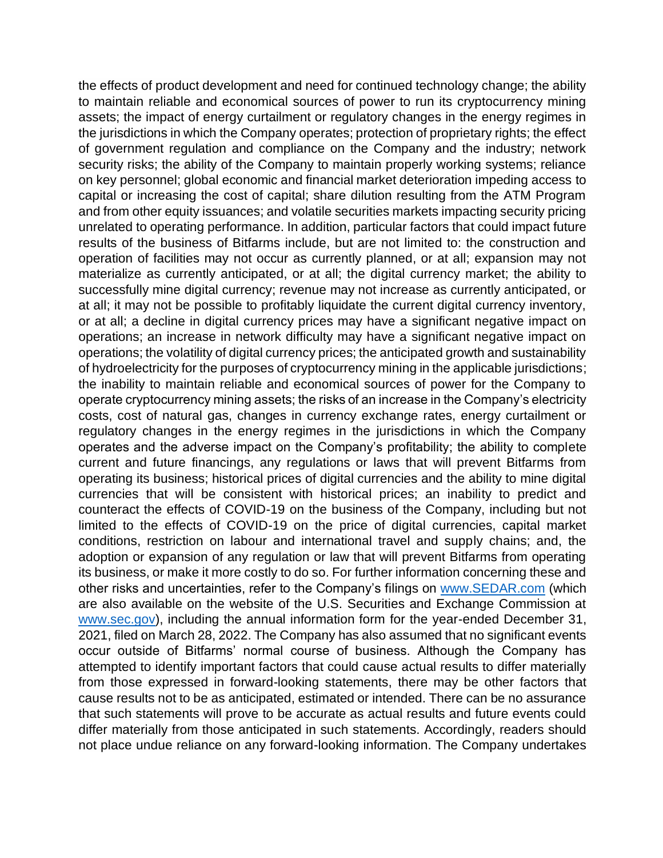the effects of product development and need for continued technology change; the ability to maintain reliable and economical sources of power to run its cryptocurrency mining assets; the impact of energy curtailment or regulatory changes in the energy regimes in the jurisdictions in which the Company operates; protection of proprietary rights; the effect of government regulation and compliance on the Company and the industry; network security risks; the ability of the Company to maintain properly working systems; reliance on key personnel; global economic and financial market deterioration impeding access to capital or increasing the cost of capital; share dilution resulting from the ATM Program and from other equity issuances; and volatile securities markets impacting security pricing unrelated to operating performance. In addition, particular factors that could impact future results of the business of Bitfarms include, but are not limited to: the construction and operation of facilities may not occur as currently planned, or at all; expansion may not materialize as currently anticipated, or at all; the digital currency market; the ability to successfully mine digital currency; revenue may not increase as currently anticipated, or at all; it may not be possible to profitably liquidate the current digital currency inventory, or at all; a decline in digital currency prices may have a significant negative impact on operations; an increase in network difficulty may have a significant negative impact on operations; the volatility of digital currency prices; the anticipated growth and sustainability of hydroelectricity for the purposes of cryptocurrency mining in the applicable jurisdictions; the inability to maintain reliable and economical sources of power for the Company to operate cryptocurrency mining assets; the risks of an increase in the Company's electricity costs, cost of natural gas, changes in currency exchange rates, energy curtailment or regulatory changes in the energy regimes in the jurisdictions in which the Company operates and the adverse impact on the Company's profitability; the ability to complete current and future financings, any regulations or laws that will prevent Bitfarms from operating its business; historical prices of digital currencies and the ability to mine digital currencies that will be consistent with historical prices; an inability to predict and counteract the effects of COVID-19 on the business of the Company, including but not limited to the effects of COVID-19 on the price of digital currencies, capital market conditions, restriction on labour and international travel and supply chains; and, the adoption or expansion of any regulation or law that will prevent Bitfarms from operating its business, or make it more costly to do so. For further information concerning these and other risks and uncertainties, refer to the Company's filings on [www.SEDAR.com](http://www.sedar.com/) (which are also available on the website of the U.S. Securities and Exchange Commission at [www.sec.gov\)](http://www.sec.gov/), including the annual information form for the year-ended December 31, 2021, filed on March 28, 2022. The Company has also assumed that no significant events occur outside of Bitfarms' normal course of business. Although the Company has attempted to identify important factors that could cause actual results to differ materially from those expressed in forward-looking statements, there may be other factors that cause results not to be as anticipated, estimated or intended. There can be no assurance that such statements will prove to be accurate as actual results and future events could differ materially from those anticipated in such statements. Accordingly, readers should not place undue reliance on any forward-looking information. The Company undertakes